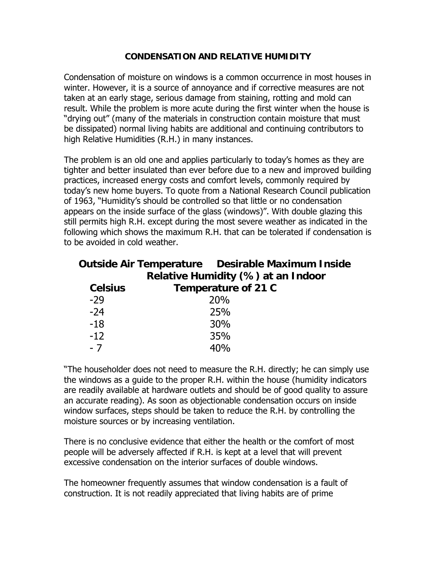## **CONDENSATION AND RELATIVE HUMIDITY**

Condensation of moisture on windows is a common occurrence in most houses in winter. However, it is a source of annoyance and if corrective measures are not taken at an early stage, serious damage from staining, rotting and mold can result. While the problem is more acute during the first winter when the house is "drying out" (many of the materials in construction contain moisture that must be dissipated) normal living habits are additional and continuing contributors to high Relative Humidities (R.H.) in many instances.

The problem is an old one and applies particularly to today's homes as they are tighter and better insulated than ever before due to a new and improved building practices, increased energy costs and comfort levels, commonly required by today's new home buyers. To quote from a National Research Council publication of 1963, "Humidity's should be controlled so that little or no condensation appears on the inside surface of the glass (windows)". With double glazing this still permits high R.H. except during the most severe weather as indicated in the following which shows the maximum R.H. that can be tolerated if condensation is to be avoided in cold weather.

|                                    |                     | <b>Outside Air Temperature</b> Desirable Maximum Inside |
|------------------------------------|---------------------|---------------------------------------------------------|
| Relative Humidity (%) at an Indoor |                     |                                                         |
| <b>Celsius</b>                     | Temperature of 21 C |                                                         |
| $-29$                              |                     | 20%                                                     |
| $-24$                              |                     | 25%                                                     |
| $-18$                              |                     | 30%                                                     |
| $-12$                              |                     | 35%                                                     |
| $-7$                               |                     | 40%                                                     |

"The householder does not need to measure the R.H. directly; he can simply use the windows as a guide to the proper R.H. within the house (humidity indicators are readily available at hardware outlets and should be of good quality to assure an accurate reading). As soon as objectionable condensation occurs on inside window surfaces, steps should be taken to reduce the R.H. by controlling the moisture sources or by increasing ventilation.

There is no conclusive evidence that either the health or the comfort of most people will be adversely affected if R.H. is kept at a level that will prevent excessive condensation on the interior surfaces of double windows.

The homeowner frequently assumes that window condensation is a fault of construction. It is not readily appreciated that living habits are of prime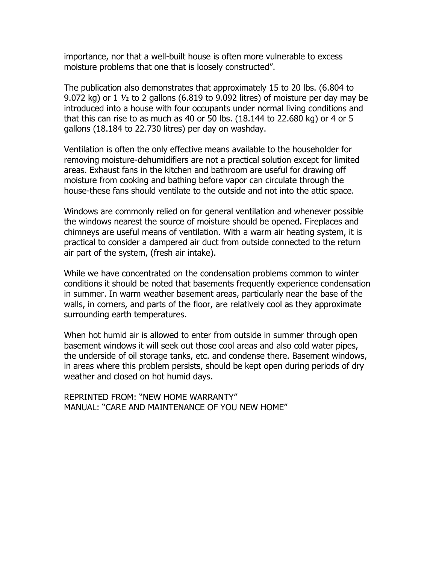importance, nor that a well-built house is often more vulnerable to excess moisture problems that one that is loosely constructed".

The publication also demonstrates that approximately 15 to 20 lbs. (6.804 to 9.072 kg) or  $1\frac{1}{2}$  to 2 gallons (6.819 to 9.092 litres) of moisture per day may be introduced into a house with four occupants under normal living conditions and that this can rise to as much as 40 or 50 lbs. (18.144 to 22.680 kg) or 4 or 5 gallons (18.184 to 22.730 litres) per day on washday.

Ventilation is often the only effective means available to the householder for removing moisture-dehumidifiers are not a practical solution except for limited areas. Exhaust fans in the kitchen and bathroom are useful for drawing off moisture from cooking and bathing before vapor can circulate through the house-these fans should ventilate to the outside and not into the attic space.

Windows are commonly relied on for general ventilation and whenever possible the windows nearest the source of moisture should be opened. Fireplaces and chimneys are useful means of ventilation. With a warm air heating system, it is practical to consider a dampered air duct from outside connected to the return air part of the system, (fresh air intake).

While we have concentrated on the condensation problems common to winter conditions it should be noted that basements frequently experience condensation in summer. In warm weather basement areas, particularly near the base of the walls, in corners, and parts of the floor, are relatively cool as they approximate surrounding earth temperatures.

When hot humid air is allowed to enter from outside in summer through open basement windows it will seek out those cool areas and also cold water pipes, the underside of oil storage tanks, etc. and condense there. Basement windows, in areas where this problem persists, should be kept open during periods of dry weather and closed on hot humid days.

REPRINTED FROM: "NEW HOME WARRANTY" MANUAL: "CARE AND MAINTENANCE OF YOU NEW HOME"